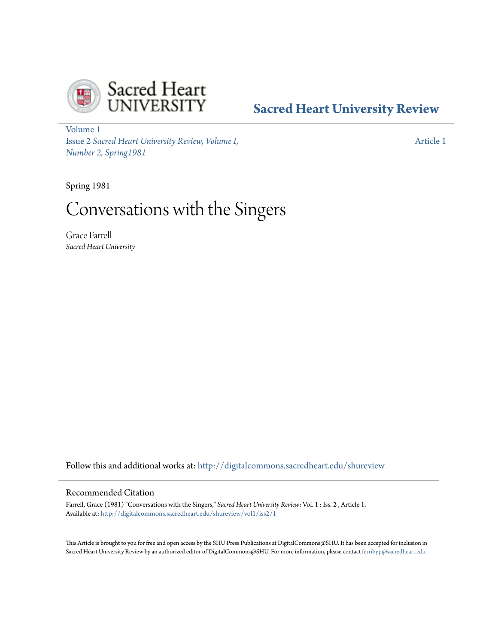

# **[Sacred Heart University Review](http://digitalcommons.sacredheart.edu/shureview?utm_source=digitalcommons.sacredheart.edu%2Fshureview%2Fvol1%2Fiss2%2F1&utm_medium=PDF&utm_campaign=PDFCoverPages)**

[Volume 1](http://digitalcommons.sacredheart.edu/shureview/vol1?utm_source=digitalcommons.sacredheart.edu%2Fshureview%2Fvol1%2Fiss2%2F1&utm_medium=PDF&utm_campaign=PDFCoverPages) Issue 2 *[Sacred Heart University Review, Volume I,](http://digitalcommons.sacredheart.edu/shureview/vol1/iss2?utm_source=digitalcommons.sacredheart.edu%2Fshureview%2Fvol1%2Fiss2%2F1&utm_medium=PDF&utm_campaign=PDFCoverPages) [Number 2, Spring1981](http://digitalcommons.sacredheart.edu/shureview/vol1/iss2?utm_source=digitalcommons.sacredheart.edu%2Fshureview%2Fvol1%2Fiss2%2F1&utm_medium=PDF&utm_campaign=PDFCoverPages)*

[Article 1](http://digitalcommons.sacredheart.edu/shureview/vol1/iss2/1?utm_source=digitalcommons.sacredheart.edu%2Fshureview%2Fvol1%2Fiss2%2F1&utm_medium=PDF&utm_campaign=PDFCoverPages)

Spring 1981

# Conversations with the Singers

Grace Farrell *Sacred Heart University*

Follow this and additional works at: [http://digitalcommons.sacredheart.edu/shureview](http://digitalcommons.sacredheart.edu/shureview?utm_source=digitalcommons.sacredheart.edu%2Fshureview%2Fvol1%2Fiss2%2F1&utm_medium=PDF&utm_campaign=PDFCoverPages)

## Recommended Citation

Farrell, Grace (1981) "Conversations with the Singers," *Sacred Heart University Review*: Vol. 1 : Iss. 2 , Article 1. Available at: [http://digitalcommons.sacredheart.edu/shureview/vol1/iss2/1](http://digitalcommons.sacredheart.edu/shureview/vol1/iss2/1?utm_source=digitalcommons.sacredheart.edu%2Fshureview%2Fvol1%2Fiss2%2F1&utm_medium=PDF&utm_campaign=PDFCoverPages)

This Article is brought to you for free and open access by the SHU Press Publications at DigitalCommons@SHU. It has been accepted for inclusion in Sacred Heart University Review by an authorized editor of DigitalCommons@SHU. For more information, please contact [ferribyp@sacredheart.edu](mailto:ferribyp@sacredheart.edu).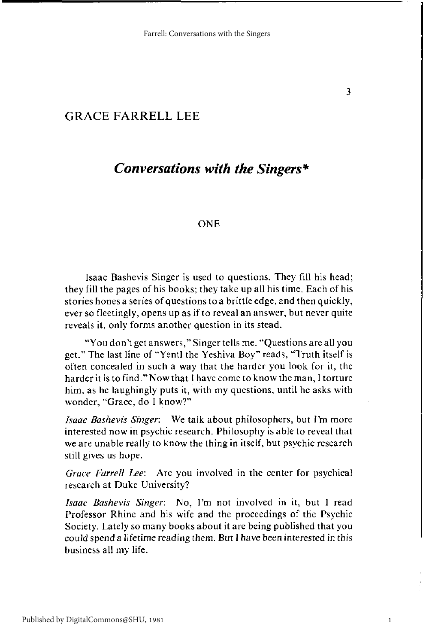# *Conversations with the Singers\**

#### **ONE**

Isaac Bashevis Singer is used to questions. They fill his head; they fill the pages of his books; they take up all his time. Each of his stories hones a series of questions to a brittle edge, and then quickly, ever so fleetingly, opens up as if to reveal an answer, but never quite reveals it, only forms another question in its stead.

"You don't get answers," Singer tells me. "Questions are all you get." The last line of "Yentl the Yeshiva Boy" reads, "Truth itself is often concealed in such a way that the harder you look for it, the harder it is to find."Now that I have come to know the man, I torture him, as he laughingly puts it, with my questions, until he asks with wonder, "Grace, do 1 know?"

*Isaac Bashevis Singer:* We talk about philosophers, but I'm more interested now in psychic research. Philosophy is able to reveal that we are unable really to know the thing in itself, but psychic research still gives us hope.

*Grace Farrell Lee:* Are you involved in the center for psychical research at Duke University?

*Isaac Bashevis Singer.* No, I'm not involved in it, but I read Professor Rhine and his wife and the proceedings of the Psychic Society. Lately so many books about it are being published that you could spend a lifetime reading them. But I have been interested in this business all my life.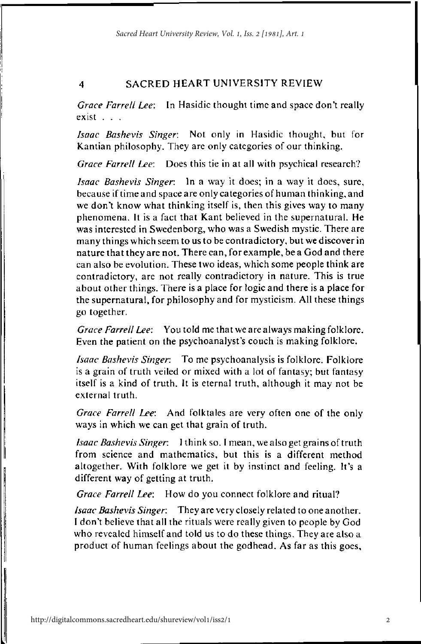*Grace Farrell Lee:* In Hasidic thought time and space don't really exist . . .

*Isaac Bashevis Singer.* Not only in Hasidic thought, but for Kantian philosophy. They are only categories of our thinking.

*Grace Farrell Lee:* Does this tie in at all with psychical research?

*Isaac Bashevis Singer.* In a way it does; in a way it does, sure, because if time and space are only categories of human thinking, and we don't know what thinking itself is, then this gives way to many phenomena. It is a fact that Kant believed in the supernatural. He was interested in Swedenborg, who was a Swedish mystic. There are many things which seem to us to be contradictory, but we discover in nature that they are not. There can, for example, be a God and there can also be evolution. These two ideas, which some people think are contradictory, are not really contradictory in nature. This is true about other things. There is a place for logic and there is a place for the supernatural, for philosophy and for mysticism. All these things go together.

*Grace Farrell Lee:* You told me that we are always making folklore. Even the patient on the psychoanalyst's couch is making folklore.

*Isaac Bashevis Singer.* To me psychoanalysis is folklore. Folklore is a grain of truth veiled or mixed with a lot of fantasy; but fantasy itself is a kind of truth. It is eternal truth, although it may not be external truth.

*Grace Farrell Lee:* And folktales are very often one of the only ways in which we can get that grain of truth.

*Isaac Bashevis Singer.* I think so. I mean, we also get grains of truth from science and mathematics, but this is a different method altogether. With folklore we get it by instinct and feeling. It's a different way of getting at truth.

*Grace Farrell Lee:* How do you connect folklore and ritual?

*Isaac Bashevis Singer:* They are very closely related to one another. I don't believe that all the rituals were really given to people by God who revealed himself and told us to do these things. They are also a product of human feelings about the godhead. As far as this goes.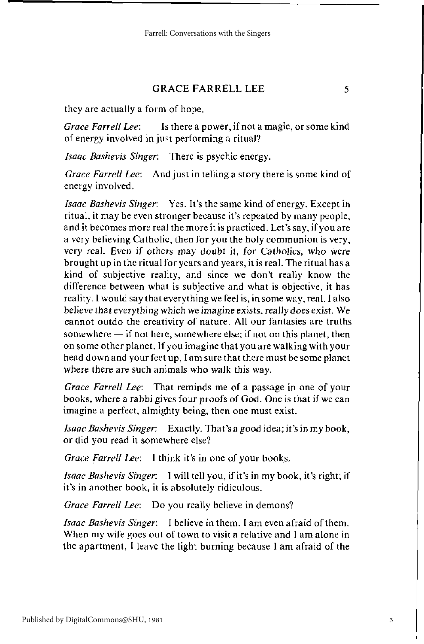they are actually a form of hope.

*Grace Farrell Lee:* Is there a power, if not a magic, or some kind of energy involved in just performing a ritual?

*Isaac Bashevis Singer.* There is psychic energy.

*Grace Farrell Lee:* And just in telling a story there is some kind of energy involved.

*Isaac Bashevis Singer:* Yes. It's the same kind of energy. Except in ritual, it may be even stronger because it's repeated by many people, and it becomes more real the more it is practiced. Let's say, if you are a very believing Catholic, then for you the holy communion is very, very real. Even if others may doubt it, for Catholics, who were brought up in the ritual for years and years, it is real. The ritual has a kind of subjective reality, and since we don't really know the difference between what is subjective and what is objective, it has reality. 1 would say that everything we feel is, in some way, real. I also believe that everything which we imagine exists, really does exist. We cannot outdo the creativity of nature. All our fantasies are truths somewhere — if not here, somewhere else; if not on this planet, then on some other planet. If you imagine that you are walking with your head down and your feet up, I am sure that there must be some planet where there are such animals who walk this way.

*Grace Farrell Lee:* That reminds me of a passage in one of your books, where a rabbi gives four proofs of God. One is that if we can imagine a perfect, almighty being, then one must exist.

*Isaac Bashevis Singer:* Exactly. That's a good idea; it's in my book, or did you read it somewhere else?

*Grace Farrell Lee:* 1 think it's in one of your books.

*Isaac Bashevis Singer:* I will tell you, if it's in my book, it's right; if it's in another book, it is absolutely ridiculous.

*Grace Farrell Lee:* Do you really believe in demons?

*Isaac Bashevis Singer:* 1 believe in them. I am even afraid of them. When my wife goes out of town to visit a relative and I am alone in the apartment, I leave the light burning because 1 am afraid of the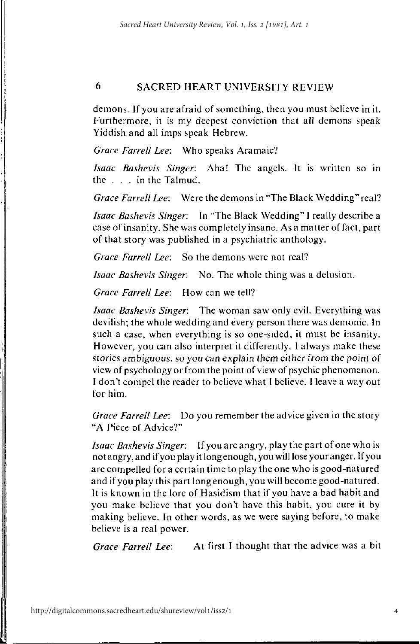demons. If you are afraid of something, then you must believe in it. Furthermore, it is my deepest conviction that all demons speak Yiddish and all imps speak Hebrew.

*Grace Farrell Lee:* Who speaks Aramaic?

*Isaac Bashevis Singer:* Aha! The angels. It is written so in the . . . in the Talmud.

*Grace Farrell Lee:* Were the demons in "The Black Wedding" real?

*Isaac Bashevis Singer:* In "The Black Wedding" I really describe a case of insanity. She was completely insane. Asa matter of fact, part of that story was published in a psychiatric anthology.

*Grace Farrell Lee:* So the demons were not real?

*Isaac Bashevis Singer:* No. The whole thing was a delusion.

*Grace Farrell Lee:* How can we tell?

*Isaac Bashevis Singer:* The woman saw only evil. Everything was devilish; the whole wedding and every person there was demonic. In such a case, when everything is so one-sided, it must be insanity. However, you can also interpret it differently. I always make these stories ambiguous, so you can explain them either from the point of view of psychology or from the point of view of psychic phenomenon. I don't compel the reader to believe what I believe. 1 leave a way out for him.

*Grace Farrell Lee:* Do you remember the advice given in the story "A Piece of Advice?"

*Isaac Bashevis Singer:* If you are angry, play the part of one who is not angry, and if you play it long enough, you will lose your anger. If you are compelled for a certain time to play the one who is good-natured and if you play this part long enough, you will become good-natured. It is known in the lore of Hasidism that if you have a bad habit and you make believe that you don't have this habit, you cure it by making believe. In other words, as we were saying before, to make believe is a real power.

*Grace Farrell Lee:* At first I thought that the advice was a bit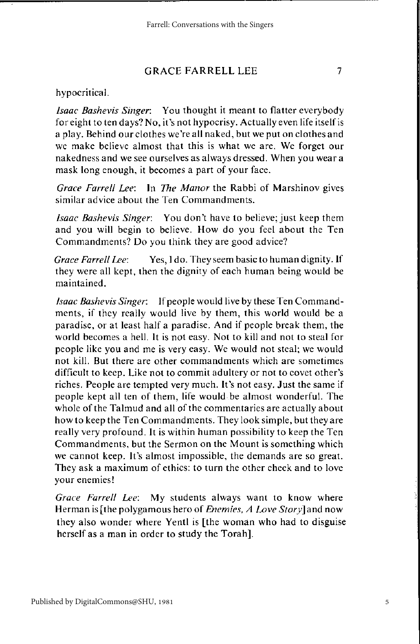7

#### hypocritical.

*Isaac Bashevis Singer:* You thought it meant to flatter everybody foreight to ten days? No, it's not hypocrisy. Actually even life itself is a play. Behind our clothes we're all naked, but we put on clothes and we make believe almost that this is what we are. We forget our nakedness and we see ourselves as always dressed. When you wear a mask long enough, it becomes a part of your face.

*Grace Farrell Lee:* In *The Manor* the Rabbi of Marshinov gives similar advice about the Ten Commandments.

*Isaac Bashevis Singer:* You don't have to believe; just keep them and you will begin to believe. How do you feel about the Ten Commandments? Do you think they are good advice?

*Grace Farrell Lee:* Yes, I do. They seem basic to human dignity. If they were all kept, then the dignity of each human being would be maintained.

*Isaac Bashevis Singer:* If people would live by these Ten Commandments, if they really would live by them, this world would be a paradise, or at least half a paradise. And if people break them, the world becomes a hell. It is not easy. Not to kill and not to steal for people like you and me is very easy. We would not steal; we would not kill. But there are other commandments which are sometimes difficult to keep. Like not to commit adultery or not to covet other's riches. People are tempted very much. It's not easy. Just the same if people kept all ten of them, life would be almost wonderful. The whole of the Talmud and all of the commentaries are actually about how to keep the Ten Commandments. They look simple, but they are really very profound. It is within human possibility to keep the Ten Commandments, but the Sermon on the Mount is something which we cannot keep. It's almost impossible, the demands are so great. They ask a maximum of ethics: to turn the other cheek and to love your enemies!

*Grace Farrell Lee:* My students always want to know where Herman is [the polygamous hero of *Enemies, A Love Storyjand* now they also wonder where Yentl is [the woman who had to disguise herself as a man in order to study the Torah].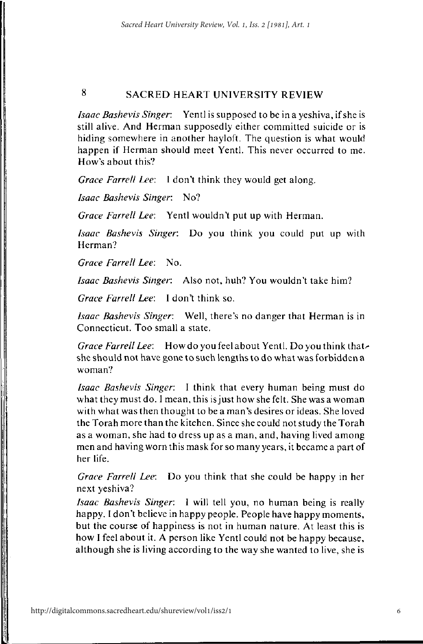*Isaac Bashevis Singer:* Yentl is supposed to be in a yeshiva, if she is still alive. And Herman supposedly either committed suicide or is hiding somewhere in another hayloft. The question is what would happen if Herman should meet Yentl. This never occurred to me. How's about this?

*Grace Farrell Lee:* 1 don't think they would get along.

*Isaac Bashevis Singer:* No?

*Grace Farrell Lee:* Yentl wouldn't put up with Herman.

*Isaac Bashevis Singer:* Do you think you could put up with Herman?

*Grace Farrell Lee:* No.

*Isaac Bashevis Singer:* Also not, huh? You wouldn't take him?

*Grace Farrell Lee:* I don't think so.

*Isaac Bashevis Singer:* Well, there's no danger that Herman is in Connecticut. Too small a state.

*Grace Farrell Lee*: How do you feel about Yentl. Do you think that she should not have gone to such lengths to do what was forbidden a woman?

*Isaac Bashevis Singer:* I think that every human being must do what they must do. I mean, this is just how she felt. She was a woman with what was then thought to be a man's desires or ideas. She loved the Torah more than the kitchen. Since she could not study the Torah as a woman, she had to dress up as a man, and, having lived among men and having worn this mask for so many years, it became a part of her life.

*Grace Farrell Lee:* Do you think that she could be happy in her next yeshiva?

*Isaac Bashevis Singer.* I will tell you, no human being is really happy. I don't believe in happy people. People have happy moments, but the course of happiness is not in human nature. At least this is how I feel about it. A person like Yentl could not be happy because, although she is living according to the way she wanted to live, she is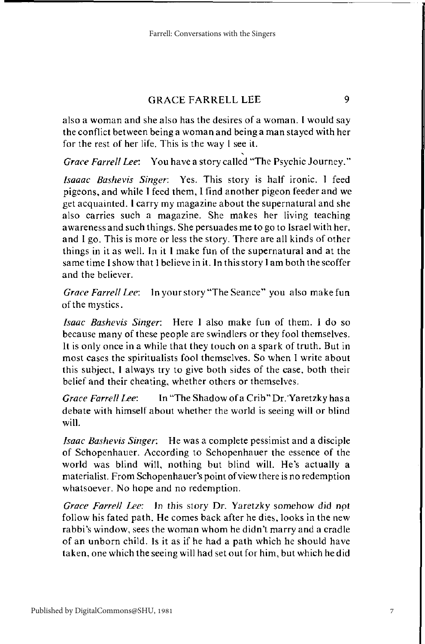also a woman and she also has the desires of a woman. I would say the conflict between being a woman and being a man stayed with her for the rest of her life. This is the way I see it.

*Grace Farrell Lee:* You have a story called "The Psychic Journey."

*Isaaac Bashevis Singer:* Yes. This story is half ironic. I feed pigeons, and while I feed them, I find another pigeon feeder and we get acquainted. 1 carry my magazine about the supernatural and she also carries such a magazine. She makes her living teaching awareness and such things. She persuades me to go to Israel with her, and I go. This is more or less the story. There are all kinds of other things in it as well. In it 1 make fun of the supernatural and at the same time I show that I believe in it. In this story 1 am both the scoffer and the believer.

*Grace Farrell Lee:* In your story "The Seance" you also make fun of the mystics.

*Isaac Bashevis Singer:* Here I also make fun of them. I do so because many of these people are swindlers or they fool themselves. It is only once in a while that they touch on a spark of truth. But in most cases the spiritualists fool themselves. So when I write about this subject, I always try to give both sides of the case, both their belief and their cheating, whether others or themselves.

*Grace Farrell Lee:* In "The Shadow of a Crib" Dr.'Yaretzky has a debate with himself about whether the world is seeing will or blind will.

*Isaac Bashevis Singer:* He was a complete pessimist and a disciple of Schopenhauer. According to Schopenhauer the essence of the world was blind will, nothing but blind will. He's actually a materialist. From Schopenhauer's point of view there is no redemption whatsoever. No hope and no redemption.

*Grace Farrell Lee:* In this story Dr. Yaretzky somehow did npt follow his fated path. He comes back after he dies, looks in the new rabbi's window, sees the woman whom he didn't marry and a cradle of an unborn child. Is it as if he had a path which he should have taken, one which the seeing will had set out for him, but which he did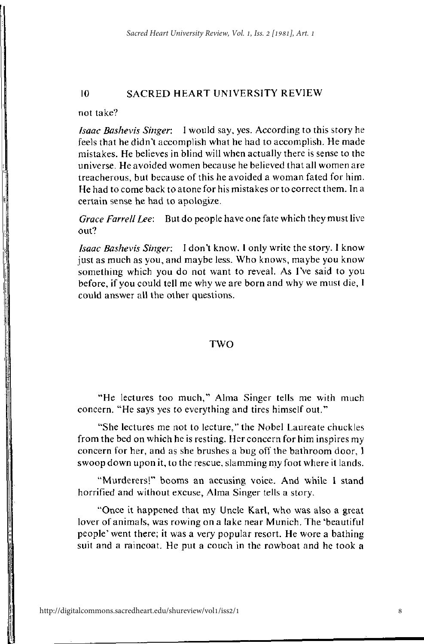not take?

*Isaac Bashevis Singer:* I would say, yes. According to this story he feels that he didn't accomplish what he had to accomplish. He made mistakes. He believes in blind will when actually there is sense to the universe. He avoided women because he believed that all women are treacherous, but because of this he avoided a woman fated for him. He had to come back to atone for his mistakes or to correct them. In a certain sense he had to apologize.

*Grace Farrell Lee:* But do people have one fate which they must live out?

*Isaac Bashevis Singer:* I don't know. 1 only write the story. I know just as much as you, and maybe less. Who knows, maybe you know something which you do not want to reveal. As I've said to you before, if you could tell me why we are born and why we must die, I could answer all the other questions.

#### TWO

"He lectures too much," Alma Singer tells me with much concern. "He says yes to everything and tires himself out."

"She lectures me not to lecture," the Nobel Laureate chuckles from the bed on which he is resting. Her concern for him inspires my concern for her, and as she brushes a bug off the bathroom door, I swoop down upon it, to the rescue, slamming my foot where it lands.

"Murderers!" booms an accusing voice. And while I stand horrified and without excuse, Alma Singer tells a story.

"Once it happened that my Uncle Karl, who was also a great lover of animals, was rowing on a lake near Munich. The 'beautiful people' went there; it was a very popular resort. He wore a bathing suit and a raincoat. He put a couch in the rowboat and he took a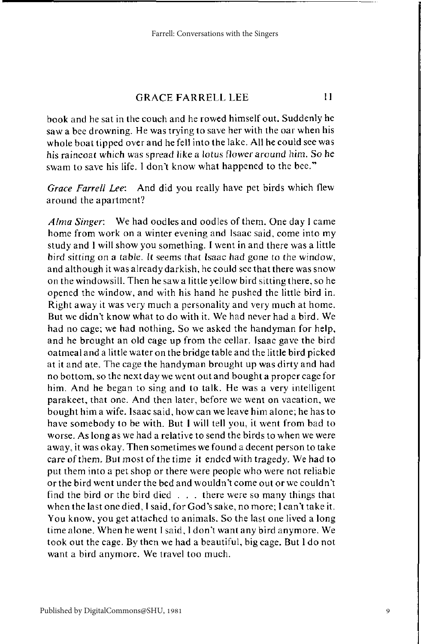book and he sat in the couch and he rowed himself out. Suddenly he saw a bee drowning. He was trying to save her with the oar when his whole boat tipped over and he fell into the lake. All he could see was his raincoat which was spread like a lotus flower around him. So he swam to save his life. I don't know what happened to the bee."

*Grace Farrell Lee:* And did you really have pet birds which flew around the apartment?

*Alma Singer.* We had oodles and oodles of them. One day I came home from work on a winter evening and Isaac said, come into my study and I will show you something. I went in and there was a little bird sitting on a table. It seems that Isaac had gone to the window, and although it was already darkish, he could see that there was snow on the windowsill. Then he saw a little yellow bird sitting there, so he opened the window, and with his hand he pushed the little bird in. Right away it was very much a personality and very much at home. But we didn't know what to do with it. We had never had a bird. We had no cage; we had nothing. So we asked the handyman for help, and he brought an old cage up from the cellar. Isaac gave the bird oatmeal and a little water on the bridge table and the little bird picked at it and ate. The cage the handyman brought up was dirty and had no bottom, so the next day we went out and bought a proper cage for him. And he began to sing and to talk. He was a very intelligent parakeet, that one. And then later, before we went on vacation, we bought him a wife. Isaac said, how can we leave him alone; he has to have somebody to be with. But 1 will tell you, it went from bad to worse. As long as we had a relative to send the birds to when we were away, it was okay. Then sometimes we found a decent person to take care of them. But most of the time it ended with tragedy. We had to put them into a pet shop or there were people who were not reliable or the bird went under the bed and wouldn't come out or we couldn't find the bird or the bird died  $\ldots$  there were so many things that when the last one died, I said, for God's sake, no more; 1 can't take it. You know, you get attached to animals. So the last one lived a long time alone. When he went I said, 1 don't want any bird anymore. We took out the cage. By then we had a beautiful, big cage. But 1 do not want a bird anymore. We travel too much.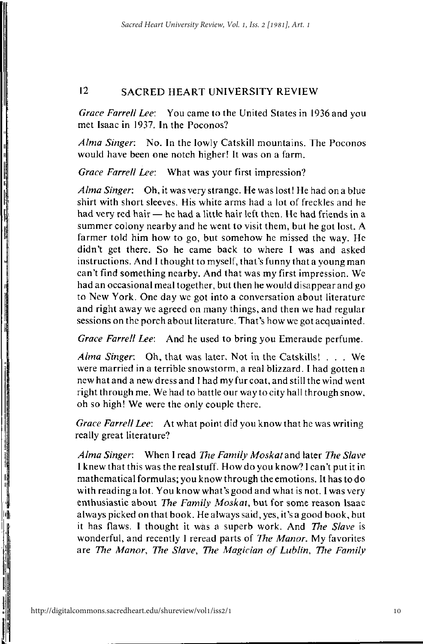*Grace Farrell Lee:* You came to the United States in 1936 and you met Isaac in 1937. In the Poconos?

*Alma Singer:* No. In the lowly Catskill mountains. The Poconos would have been one notch higher! It was on a farm.

*Grace Farrell Lee:* What was your first impression?

*Alma Singer:* Oh, it was very strange. He was lost! He had on a blue shirt with short sleeves. His white arms had a lot of freckles and he had very red hair — he had a little hair left then. He had friends in a summer colony nearby and he went to visit them, but he got lost. A farmer told him how to go, but somehow he missed the way. He didn't get there. So he came back to where I was and asked instructions. And I thought to myself, that's funny that a young man can't find something nearby. And that was my first impression. We had an occasional meal together, but then he would disappear and go to New York. One day we got into a conversation about literature and right away we agreed on many things, and then we had regular sessions on the porch about literature. That's how we got acquainted.

*Grace Farrell Lee:* And he used to bring you Emeraude perfume.

*Alma Singer:* Oh, that was later. Not in the Catskills! . . . We were married in a terrible snowstorm, a real blizzard. I had gotten a new hat and a new dress and I had my fur coat, and still the wind went right through me. We had to battle our way to city hall through snow, oh so high! We were the only couple there.

*Grace Farrell Lee:* At what point did you know that he was writing really great literature?

*Alma Singer:* When I read *The Family Moskat* and later *The Slave*  I knew that this was the real stuff. How do you know? I can't put it in mathematical formulas; you know through the emotions. It has to do with reading a lot. You know what's good and what is not. I was very enthusiastic about *The Family Moskat,* but for some reason Isaac always picked on that book. He always said, yes, it's a good book, but it has flaws. I thought it was a superb work. And *The Slave* is wonderful, and recently I reread parts of *The Manor.* My favorites are *The Manor, The Slave, The Magician of Lublin, The Family*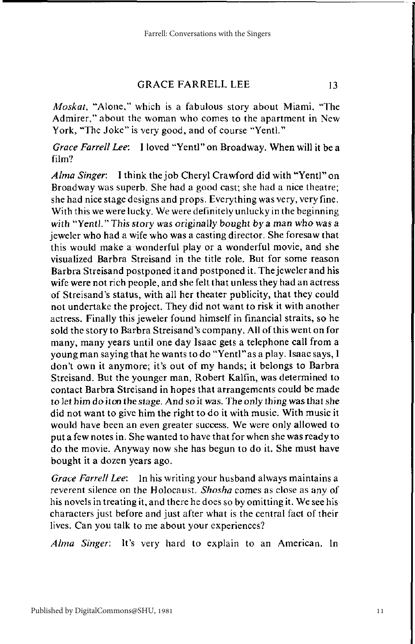*Moskat,* "Alone," which is a fabulous story about Miami, "The Admirer," about the woman who comes to the apartment in New York, "The Joke" is very good, and of course "Yentl."

*Grace Farrell Lee:* I loved "Yentl" on Broadway. When will it be a film?

*Alma Singer.* I think the job Cheryl Crawford did with "Yentl" on Broadway was superb. She had a good cast; she had a nice theatre; she had nice stage designs and props. Everything was very, very fine. With this we were lucky. We were definitely unlucky in the beginning with "Yentl." This story was originally bought by a man who was a jeweler who had a wife who was a casting director. She foresaw that this would make a wonderful play or a wonderful movie, and she visualized Barbra Streisand in the title role. But for some reason Barbra Streisand postponed it and postponed it. The jeweler and his wife were not rich people, and she felt that unless they had an actress of Streisand's status, with all her theater publicity, that they could not undertake the project. They did not want to risk it with another actress. Finally this jeweler found himself in financial straits, so he sold the story to Barbra Streisand's company. All of this went on for many, many years until one day Isaac gets a telephone call from a young man saying that he wants to do "Yentl" as a play. Isaac says, I don't own it anymore; it's out of my hands; it belongs to Barbra Streisand. But the younger man, Robert Kalfin, was determined to contact Barbra Streisand in hopes that arrangements could be made to let him do iton the stage. And so it was. The only thing was that she did not want to give him the right to do it with music. With music it would have been an even greater success. We were only allowed to put a few notes in. She wanted to have that for when she was ready to do the movie. Anyway now she has begun to do it. She must have bought it a dozen years ago.

*Grace Farrell Lee:* In his writing your husband always maintains a reverent silence on the Holocaust. *Shosha* comes as close as any of his novels in treating it, and there he does so by omitting it. We see his characters just before and just after what is the central fact of their lives. Can you talk to me about your experiences?

*Alma Singer:* It's very hard to explain to an American. In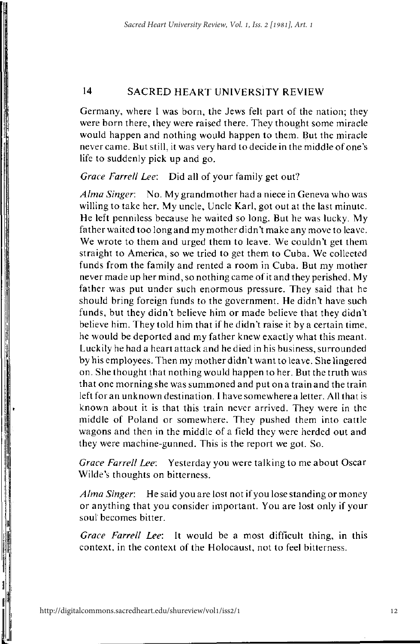Germany, where I was born, the Jews felt part of the nation; they were born there, they were raised there. They thought some miracle would happen and nothing would happen to them. But the miracle never came. But still, it was very hard to decide in the middle of one's life to suddenly pick up and go.

*Grace Farrell Lee:* Did all of your family get out?

*Alma Singer.* No. Mygrandmother had a niece in Geneva who was willing to take her. My uncle, Uncle Karl, got out at the last minute. He left penniless because he waited so long. But he was lucky. My father waited too long and my mother didn't make any move to leave. We wrote to them and urged them to leave. We couldn't get them straight to America, so we tried to get them to Cuba. We collected funds from the family and rented a room in Cuba. But my mother never made up her mind, so nothing came of it and they perished. My father was put under such enormous pressure. They said that he should bring foreign funds to the government. He didn't have such funds, but they didn't believe him or made believe that they didn't believe him. They told him that if he didn't raise it by a certain time, he would be deported and my father knew exactly what this meant. Luckily he had a heart attack and he died in his business, surrounded by his employees. Then my mother didn't want to leave. She lingered on. She thought that nothing would happen to her. But the truth was that one morning she was summoned and put on a train and the train left for an unknown destination. I have somewhere a letter. All that is known about it is that this train never arrived. They were in the middle of Poland or somewhere. They pushed them into cattle wagons and then in the middle of a field they were herded out and they were machine-gunned. This is the report we got. So.

*Grace Farrell Lee:* Yesterday you were talking to me about Oscar Wilde's thoughts on bitterness.

*Alma Singer:* He said you are lost not if you lose standing or money or anything that you consider important. You are lost only if your soul becomes bitter.

*Grace Farrell Lee:* It would be a most difficult thing, in this context, in the context of the Holocaust, not to feel bitterness.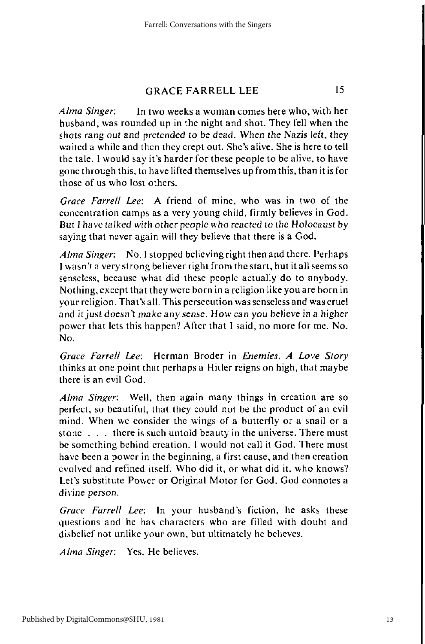*Alma Singer:* In two weeks a woman comes here who, with her husband, was rounded up in the night and shot. They fell when the shots rang out and pretended to be dead. When the Nazis left, they waited a while and then they crept out. She's alive. She is here to tell the tale. 1 would say it's harder for these people to be alive, to have gone through this, to have lifted themselves up from this, than it is for those of us who lost others.

*Grace Farrell Lee:* A friend of mine, who was in two of the concentration camps as a very young child, firmly believes in God. But I have talked with other people who reacted to the Holocaust by saying that never again will they believe that there is a God.

*Alma Singer:* No. I stopped believing right then and there. Perhaps 1 wasn't a very strong believer right from the start, but it all seems so senseless, because what did these people actually do to anybody. Nothing, except that they were born in a religion like you are born in your religion. That's all. This persecution was senseless and was cruel and it just doesn't make any sense. How can you believe in a higher power that lets this happen? After that I said, no more for me. No. No.

*Grace Farrell Lee:* Herman Broder in *Enemies, A Love Story*  thinks at one point that perhaps a Hitler reigns on high, that maybe there is an evil God.

*Alma Singer:* Well, then again many things in creation are so perfect, so beautiful, that they could not be the product of an evil mind. When we consider the wings of a butterfly or a snail or a stone . . . there is such untold beauty in the universe. There must be something behind creation. I would not call it God. There must have been a power in the beginning, a first cause, and then creation evolved and refined itself. Who did it, or what did it, who knows? Let's substitute Power or Original Motor for God. God connotes a divine person.

*Grace Farrell Lee:* In your husband's fiction, he asks these questions and he has characters who are filled with doubt and disbelief not unlike your own, but ultimately he believes.

*Alma Singer.* Yes. He believes.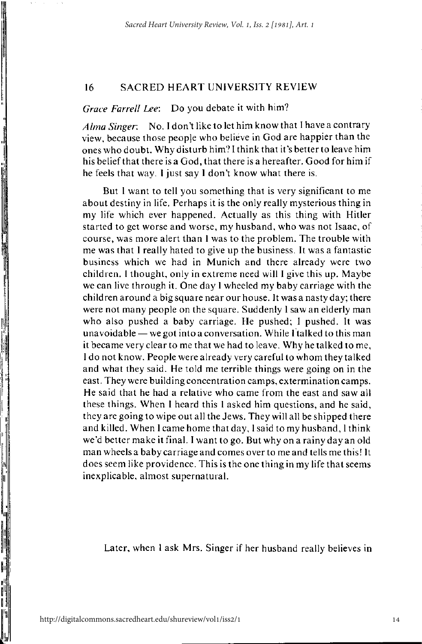#### *Grace Farrell Lee:* Do you debate it with him?

*Alma Singer:* No. I don't like to let him know that I have a contrary view, because those people who believe in God are happier than the ones who doubt. Whydisturbhim?I think that it's better to leave him his belief that there is a God, that there is a hereafter. Good for him if he feels that way. I just say 1 don't know what there is.

But 1 want to tell you something that is very significant to me about destiny in life. Perhaps it is the only really mysterious thing in my life which ever happened. Actually as this thing with Hitler started to get worse and worse, my husband, who was not Isaac, of course, was more alert than I was to the problem. The trouble with me was that I really hated to give up the business. It was a fantastic business which we had in Munich and there already were two children. I thought, only in extreme need will I give this up. Maybe we can live through it. One day I wheeled my baby carriage with the child ren around a big square near our house. It was a nasty day; there were not many people on the square. Suddenly 1 saw an elderly man who also pushed a baby carriage. He pushed; I pushed. It was unavoidable — we got into a conversation. While 1 talked to this man it became very clear to me that we had to leave. Why he talked to me, I do not know. People were already very careful to whom they talked and what they said. He told me terrible things were going on in the east. They were building concentration camps, extermination camps. He said that he had a relative who came from the east and saw all these things. When I heard this 1 asked him questions, and he said, they are going to wipe out all the Jews. They will all be shipped there and killed. When 1 came home that day, 1 said to my husband, 1 think we'd better make it final. I want to go. But why on a rainy day an old man wheels a baby carriage and comes over to me and tells me this! It does seem like providence. This is the one thing in my life that seems inexplicable, almost supernatural.

Later, when 1 ask Mrs. Singer if her husband really believes in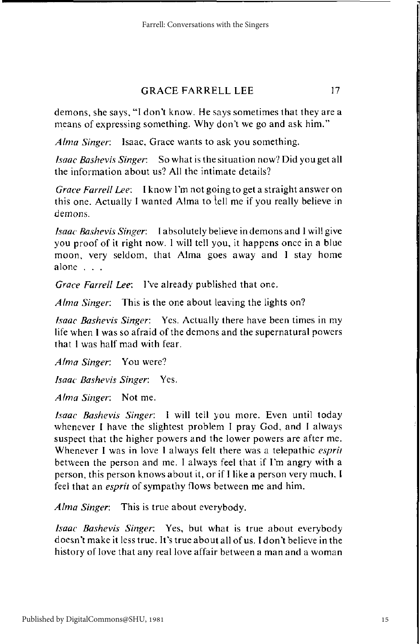demons, she says, "I don't know. He says sometimes that they are a means of expressing something. Why don't we go and ask him."

*Alma Singer:* Isaac, Grace wants to ask you something.

*Isaac Bashevis Singer.* So what is the situation now? Did you get all the information about us? All the intimate details?

*Grace Farrell Lee:* I know I'm not going to get a straight answer on this one. Actually I wanted Alma to tell me if you really believe in demons.

*Isaac Bashevis Singer:* I absolutely believe in demons and I will give you proof of it right now. 1 will tell you, it happens once in a blue moon, very seldom, that Alma goes away and I stay home alone . . .

*Grace Farrell Lee:* I've already published that one.

*Alma Singer:* This is the one about leaving the lights on?

*Isaac Bashevis Singer:* Yes. Actually there have been times in my life when I was so afraid of the demons and the supernatural powers that 1 was half mad with fear.

*Alma Singer:* You were?

*Isaac Bashevis Singer:* Yes.

*Alma Singer:* Not me.

*Isaac Bashevis Singer:* I will tell you more. Even until today whenever I have the slightest problem I pray God, and I always suspect that the higher powers and the lower powers are after me. Whenever I was in love 1 always felt there was a telepathic *esprit*  between the person and me. I always feel that if I'm angry with a person, this person knows about it, or if I like a person very much, I feel that an *esprit* of sympathy flows between me and him.

*Alma Singer:* This is true about everybody.

*Isaac Bashevis Singer:* Yes, but what is true about everybody doesn't make it less true. It'strueaboutall of us. I don't believe in the history of love that any real love affair between a man and a woman